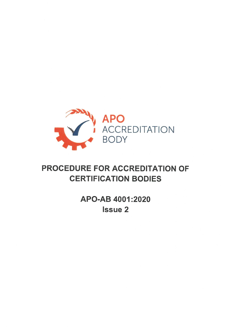

# PROCEDURE FOR ACCREDITATION OF CERTIFICATION BODIES

APO-AB 4001:2020 Issue 2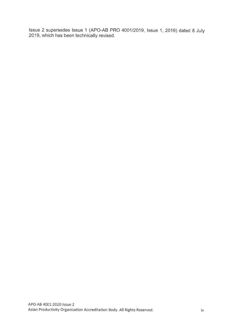Issue 2 supersedes Issue 1 (APO-AB PRO 4001/2019, Issue 1, 2019) dated 8 July 2019, which has been technically revised.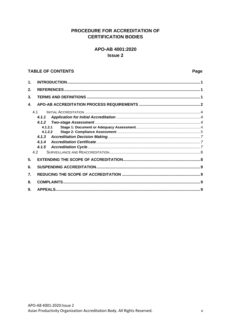# PROCEDURE FOR ACCREDITATION OF **CERTIFICATION BODIES**

# APO-AB 4001:2020 **Issue 2**

#### **TABLE OF CONTENTS**

| 1.               |         |  |  |
|------------------|---------|--|--|
| 2.               |         |  |  |
| 3.               |         |  |  |
| 4.               |         |  |  |
| 41               |         |  |  |
|                  | 4.1.1   |  |  |
|                  |         |  |  |
|                  | 4.1.2.1 |  |  |
|                  | 4.1.2.2 |  |  |
|                  | 4.1.3   |  |  |
|                  | 4.1.4   |  |  |
|                  |         |  |  |
| 4.2              |         |  |  |
| 5.               |         |  |  |
| 6.               |         |  |  |
| $\overline{7}$ . |         |  |  |
| 8.               |         |  |  |
| 9.               |         |  |  |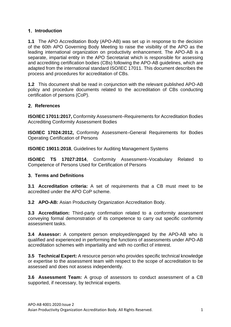# <span id="page-3-0"></span>**Introduction**

**1.1** The APO Accreditation Body (APO-AB) was set up in response to the decision of the 60th APO Governing Body Meeting to raise the visibility of the APO as the leading international organization on productivity enhancement. The APO-AB is a separate, impartial entity in the APO Secretariat which is responsible for assessing and accrediting certification bodies (CBs) following the APO-AB guidelines, which are adapted from the international standard ISO/IEC 17011. This document describes the process and procedures for accreditation of CBs.

**1.2** This document shall be read in conjunction with the relevant published APO-AB policy and procedure documents related to the accreditation of CBs conducting certification of persons (CoP).

# <span id="page-3-1"></span>**References**

**ISO/IEC 17011:2017,** Conformity Assessment–Requirements for Accreditation Bodies Accrediting Conformity Assessment Bodies

**ISO/IEC 17024:2012,** Conformity Assessment–General Requirements for Bodies Operating Certification of Persons

**ISO/IEC 19011:2018**, Guidelines for Auditing Management Systems

**ISO/IEC TS 17027:2014**, Conformity Assessment–Vocabulary Related to Competence of Persons Used for Certification of Persons

## <span id="page-3-2"></span>**Terms and Definitions**

**3.1 Accreditation criteria:** A set of requirements that a CB must meet to be accredited under the APO CoP scheme.

**3.2 APO-AB:** Asian Productivity Organization Accreditation Body.

**3.3 Accreditation:** Third-party confirmation related to a conformity assessment conveying formal demonstration of its competence to carry out specific conformity assessment tasks.

**3.4 Assessor:** A competent person employed/engaged by the APO-AB who is qualified and experienced in performing the functions of assessments under APO-AB accreditation schemes with impartiality and with no conflict of interest.

**3.5 Technical Expert:** A resource person who provides specific technical knowledge or expertise to the assessment team with respect to the scope of accreditation to be assessed and does not assess independently.

**3.6 Assessment Team:** A group of assessors to conduct assessment of a CB supported, if necessary, by technical experts.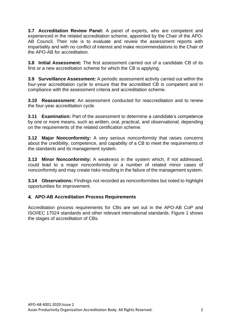**3.7 Accreditation Review Panel:** A panel of experts, who are competent and experienced in the related accreditation scheme, appointed by the Chair of the APO-AB Council. Their role is to evaluate and review the assessment reports with impartiality and with no conflict of interest and make recommendations to the Chair of the APO-AB for accreditation.

**3.8 Initial Assessment:** The first assessment carried out of a candidate CB of its first or a new accreditation scheme for which the CB is applying.

**3.9 Surveillance Assessment:** A periodic assessment activity carried out within the four-year accreditation cycle to ensure that the accredited CB is competent and in compliance with the assessment criteria and accreditation scheme.

**3.10 Reassessment:** An assessment conducted for reaccreditation and to renew the four-year accreditation cycle.

**3.11 Examination:** Part of the assessment to determine a candidate's competence by one or more means, such as written, oral, practical, and observational, depending on the requirements of the related certification scheme.

**3.12 Major Nonconformity:** A very serious nonconformity that raises concerns about the credibility, competence, and capability of a CB to meet the requirements of the standards and its management system.

**3.13 Minor Nonconformity:** A weakness in the system which, if not addressed, could lead to a major nonconformity or a number of related minor cases of nonconformity and may create risks resulting in the failure of the management system.

**3.14 Observations:** Findings not recorded as nonconformities but noted to highlight opportunities for improvement.

## <span id="page-4-0"></span>**APO-AB Accreditation Process Requirements**

Accreditation process requirements for CBs are set out in the APO-AB CoP and ISO/IEC 17024 standards and other relevant international standards. Figure 1 shows the stages of accreditation of CBs.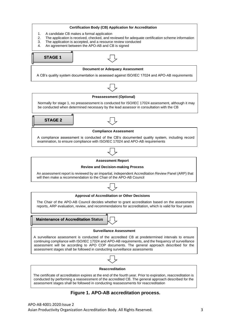

#### **Figure 1. APO-AB accreditation process.**

APO-AB 4001:2020:Issue 2 Asian Productivity Organization Accreditation Body. All Rights Reserved. 3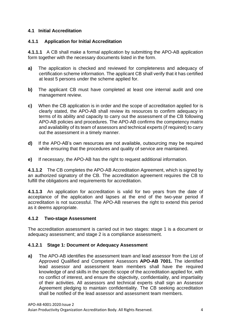## <span id="page-6-0"></span>**4.1 Initial Accreditation**

### <span id="page-6-1"></span>**4.1.1 Application for Initial Accreditation**

**4.1.1.1** A CB shall make a formal application by submitting the APO-AB application form together with the necessary documents listed in the form.

- **a)** The application is checked and reviewed for completeness and adequacy of certification scheme information. The applicant CB shall verify that it has certified at least 5 persons under the scheme applied for.
- **b)** The applicant CB must have completed at least one internal audit and one management review.
- **c)** When the CB application is in order and the scope of accreditation applied for is clearly stated, the APO-AB shall review its resources to confirm adequacy in terms of its ability and capacity to carry out the assessment of the CB following APO-AB policies and procedures. The APO-AB confirms the competency matrix and availability of its team of assessors and technical experts (if required) to carry out the assessment in a timely manner.
- **d)** If the APO-AB's own resources are not available, outsourcing may be required while ensuring that the procedures and quality of service are maintained.
- **e)** If necessary, the APO-AB has the right to request additional information.

**4.1.1.2** The CB completes the APO-AB Accreditation Agreement, which is signed by an authorized signatory of the CB. The accreditation agreement requires the CB to fulfill the obligations and requirements for accreditation.

**4.1.1.3** An application for accreditation is valid for two years from the date of acceptance of the application and lapses at the end of the two-year period if accreditation is not successful. The APO-AB reserves the right to extend this period as it deems appropriate.

#### <span id="page-6-2"></span>**4.1.2 Two-stage Assessment**

The accreditation assessment is carried out in two stages: stage 1 is a document or adequacy assessment; and stage 2 is a compliance assessment.

#### <span id="page-6-3"></span>**4.1.2.1 Stage 1: Document or Adequacy Assessment**

**a)** The APO-AB identifies the assessment team and lead assessor from the List of Approved Qualified and Competent Assessors **APO-AB 7001.** The identified lead assessor and assessment team members shall have the required knowledge of and skills in the specific scope of the accreditation applied for, with no conflict of interest, and ensure the objectivity, confidentiality, and impartiality of their activities. All assessors and technical experts shall sign an Assessor Agreement pledging to maintain confidentiality. The CB seeking accreditation shall be notified of the lead assessor and assessment team members.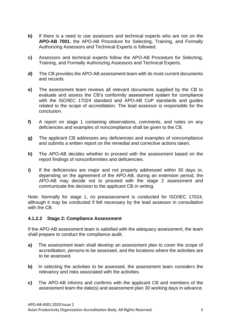- **b)** If there is a need to use assessors and technical experts who are not on the **APO-AB 7001**, the APO-AB Procedure for Selecting, Training, and Formally Authorizing Assessors and Technical Experts is followed.
- **c)** Assessors and technical experts follow the APO-AB Procedure for Selecting, Training, and Formally Authorizing Assessors and Technical Experts.
- **d)** The CB provides the APO-AB assessment team with its most current documents and records.
- **e)** The assessment team reviews all relevant documents supplied by the CB to evaluate and assess the CB's conformity assessment system for compliance with the ISO/IEC 17024 standard and APO-AB CoP standards and guides related to the scope of accreditation. The lead assessor is responsible for the conclusion.
- **f)** A report on stage 1 containing observations, comments, and notes on any deficiencies and examples of noncompliance shall be given to the CB.
- **g)** The applicant CB addresses any deficiencies and examples of noncompliance and submits a written report on the remedial and corrective actions taken.
- **h)** The APO-AB decides whether to proceed with the assessment based on the report findings of nonconformities and deficiencies.
- **i)** If the deficiencies are major and not properly addressed within 30 days or, depending on the agreement of the APO-AB, during an extension period, the APO-AB may decide not to proceed with the stage 2 assessment and communicate the decision to the applicant CB in writing.

Note: Normally for stage 1, no preassessment is conducted for ISO/IEC 17024, although it may be conducted if felt necessary by the lead assessor in consultation with the CB.

#### <span id="page-7-0"></span>**4.1.2.2 Stage 2: Compliance Assessment**

If the APO-AB assessment team is satisfied with the adequacy assessment, the team shall prepare to conduct the compliance audit.

- **a)** The assessment team shall develop an assessment plan to cover the scope of accreditation, persons to be assessed, and the locations where the activities are to be assessed.
- **b)** In selecting the activities to be assessed, the assessment team considers the relevancy and risks associated with the activities.
- **c)** The APO-AB informs and confirms with the applicant CB and members of the assessment team the date(s) and assessment plan 30 working days in advance.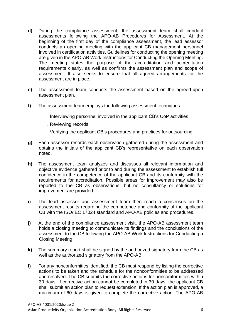- **d)** During the compliance assessment, the assessment team shall conduct assessments following the APO-AB Procedures for Assessment. At the beginning of the first day of the compliance assessment, the lead assessor conducts an opening meeting with the applicant CB management personnel involved in certification activities. Guidelines for conducting the opening meeting are given in the APO-AB Work Instructions for Conducting the Opening Meeting. The meeting states the purpose of the accreditation and accreditation requirements clearly, as well as confirms the assessment plan and scope of assessment. It also seeks to ensure that all agreed arrangements for the assessment are in place.
- **e)** The assessment team conducts the assessment based on the agreed-upon assessment plan.
- **f)** The assessment team employs the following assessment techniques:
	- i. Interviewing personnel involved in the applicant CB's CoP activities
	- ii. Reviewing records
	- iii. Verifying the applicant CB's procedures and practices for outsourcing
- **g)** Each assessor records each observation gathered during the assessment and obtains the initials of the applicant CB's representative on each observation noted.
- **h)** The assessment team analyzes and discusses all relevant information and objective evidence gathered prior to and during the assessment to establish full confidence in the competence of the applicant CB and its conformity with the requirements for accreditation. Possible areas for improvement may also be reported to the CB as observations, but no consultancy or solutions for improvement are provided.
- **i)** The lead assessor and assessment team then reach a consensus on the assessment results regarding the competence and conformity of the applicant CB with the ISO/IEC 17024 standard and APO-AB policies and procedures.
- **j)** At the end of the compliance assessment visit, the APO-AB assessment team holds a closing meeting to communicate its findings and the conclusions of the assessment to the CB following the APO-AB Work Instructions for Conducting a Closing Meeting.
- **k)** The summary report shall be signed by the authorized signatory from the CB as well as the authorized signatory from the APO-AB.
- **l)** For any nonconformities identified, the CB must respond by listing the corrective actions to be taken and the schedule for the nonconformities to be addressed and resolved. The CB submits the corrective actions for noncomformities within 30 days. If corrective action cannot be completed in 30 days, the applicant CB shall submit an action plan to request extension. If the action plan is approved, a maximum of 60 days is given to complete the corrective action. The APO-AB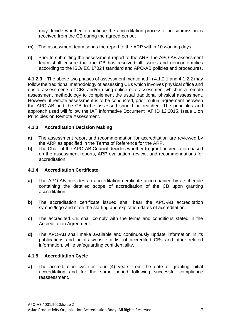may decide whether to continue the accreditation process if no submission is received from the CB during the agreed period.

- **m)** The assessment team sends the report to the ARP within 10 working days.
- **n)** Prior to submitting the assessment report to the ARP, the APO-AB assessment team shall ensure that the CB has resolved all issues and nonconformities according to the ISO/IEC 17024 standard and APO-AB policies and procedures.

**4.1.2.3** The above two phases of assessment mentioned in 4.1.2.1 and 4.1.2.2 may follow the traditional methodology of assessing CBs which involves physical office and onsite assessments of CBs and/or using online or e-assessment which is a remote assessment methodology to complement the usual traditional physical assessment. However, if remote assessment is to be conducted, prior mutual agreement between the APO-AB and the CB to be assessed should be reached. The principles and approach used will follow the IAF Informative Document IAF ID 12:2015, Issue 1 on Principles on Remote Assessment.

### <span id="page-9-0"></span>**4.1.3 Accreditation Decision Making**

- **a)** The assessment report and recommendation for accreditation are reviewed by the ARP as specified in the Terms of Reference for the ARP.
- **b)** The Chair of the APO-AB Council decides whether to grant accreditation based on the assessment reports, ARP evaluation, review, and recommendations for accreditation.

## <span id="page-9-1"></span>**4.1.4 Accreditation Certificate**

- **a)** The APO-AB provides an accreditation certificate accompanied by a schedule containing the detailed scope of accreditation of the CB upon granting accreditation.
- **b)** The accreditation certificate issued shall bear the APO-AB accreditation symbol/logo and state the starting and expiration dates of accreditation.
- **c)** The accredited CB shall comply with the terms and conditions stated in the Accreditation Agreement.
- **d)** The APO-AB shall make available and continuously update information in its publications and on its website a list of accredited CBs and other related information, while safeguarding confidentiality.

## <span id="page-9-2"></span>**4.1.5 Accreditation Cycle**

**a)** The accreditation cycle is four (4) years from the date of granting initial accreditation and for the same period following successful compliance reassessment.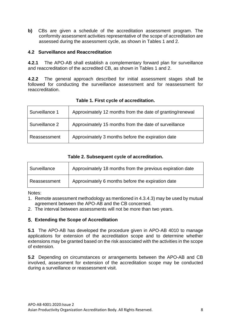**b)** CBs are given a schedule of the accreditation assessment program. The conformity assessment activities representative of the scope of accreditation are assessed during the assessment cycle, as shown in Tables 1 and 2.

### <span id="page-10-0"></span>**4.2 Surveillance and Reaccreditation**

**4.2.1** The APO-AB shall establish a complementary forward plan for surveillance and reaccreditation of the accredited CB, as shown in Tables 1 and 2.

**4.2.2** The general approach described for initial assessment stages shall be followed for conducting the surveillance assessment and for reassessment for reaccreditation.

| Surveillance 1 | Approximately 12 months from the date of granting/renewal |
|----------------|-----------------------------------------------------------|
| Surveillance 2 | Approximately 15 months from the date of surveillance     |
| Reassessment   | Approximately 3 months before the expiration date         |

# **Table 1. First cycle of accreditation.**

### **Table 2. Subsequent cycle of accreditation.**

| Surveillance | Approximately 18 months from the previous expiration date |
|--------------|-----------------------------------------------------------|
| Reassessment | Approximately 6 months before the expiration date         |

Notes:

1. Remote assessment methodology as mentioned in 4.3.4.3) may be used by mutual agreement between the APO-AB and the CB concerned.

2. The interval between assessments will not be more than two years.

## <span id="page-10-1"></span>**Extending the Scope of Accreditation**

**5.1** The APO-AB has developed the procedure given in APO-AB 4010 to manage applications for extension of the accreditation scope and to determine whether extensions may be granted based on the risk associated with the activities in the scope of extension.

**5.2** Depending on circumstances or arrangements between the APO-AB and CB involved, assessment for extension of the accreditation scope may be conducted during a surveillance or reassessment visit.